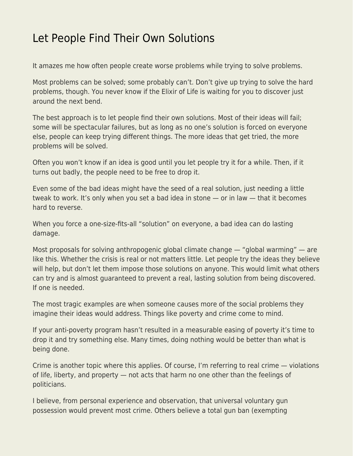## [Let People Find Their Own Solutions](https://everything-voluntary.com/let-people-find-their-own-solutions)

It amazes me how often people create worse problems while trying to solve problems.

Most problems can be solved; some probably can't. Don't give up trying to solve the hard problems, though. You never know if the Elixir of Life is waiting for you to discover just around the next bend.

The best approach is to let people find their own solutions. Most of their ideas will fail; some will be spectacular failures, but as long as no one's solution is forced on everyone else, people can keep trying different things. The more ideas that get tried, the more problems will be solved.

Often you won't know if an idea is good until you let people try it for a while. Then, if it turns out badly, the people need to be free to drop it.

Even some of the bad ideas might have the seed of a real solution, just needing a little tweak to work. It's only when you set a bad idea in stone — or in law — that it becomes hard to reverse.

When you force a one-size-fits-all "solution" on everyone, a bad idea can do lasting damage.

Most proposals for solving anthropogenic global climate change — "global warming" — are like this. Whether the crisis is real or not matters little. Let people try the ideas they believe will help, but don't let them impose those solutions on anyone. This would limit what others can try and is almost guaranteed to prevent a real, lasting solution from being discovered. If one is needed.

The most tragic examples are when someone causes more of the social problems they imagine their ideas would address. Things like poverty and crime come to mind.

If your anti-poverty program hasn't resulted in a measurable easing of poverty it's time to drop it and try something else. Many times, doing nothing would be better than what is being done.

Crime is another topic where this applies. Of course, I'm referring to real crime — violations of life, liberty, and property — not acts that harm no one other than the feelings of politicians.

I believe, from personal experience and observation, that universal voluntary gun possession would prevent most crime. Others believe a total gun ban (exempting